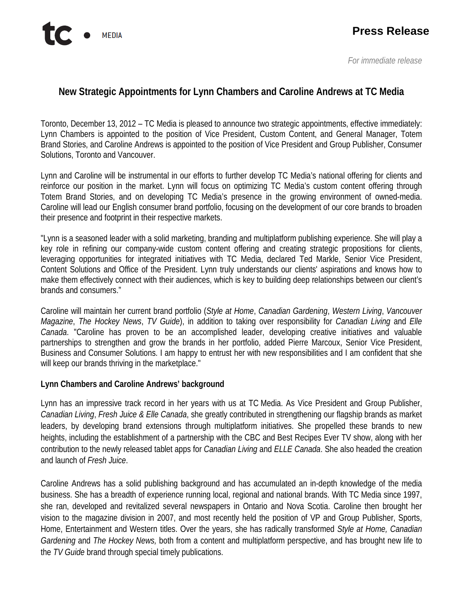## **New Strategic Appointments for Lynn Chambers and Caroline Andrews at TC Media**

Toronto, December 13, 2012 – TC Media is pleased to announce two strategic appointments, effective immediately: Lynn Chambers is appointed to the position of Vice President, Custom Content, and General Manager, Totem Brand Stories, and Caroline Andrews is appointed to the position of Vice President and Group Publisher, Consumer Solutions, Toronto and Vancouver.

Lynn and Caroline will be instrumental in our efforts to further develop TC Media's national offering for clients and reinforce our position in the market. Lynn will focus on optimizing TC Media's custom content offering through Totem Brand Stories, and on developing TC Media's presence in the growing environment of owned-media. Caroline will lead our English consumer brand portfolio, focusing on the development of our core brands to broaden their presence and footprint in their respective markets.

"Lynn is a seasoned leader with a solid marketing, branding and multiplatform publishing experience. She will play a key role in refining our company-wide custom content offering and creating strategic propositions for clients, leveraging opportunities for integrated initiatives with TC Media, declared Ted Markle, Senior Vice President, Content Solutions and Office of the President. Lynn truly understands our clients' aspirations and knows how to make them effectively connect with their audiences, which is key to building deep relationships between our client's brands and consumers."

Caroline will maintain her current brand portfolio (*Style at Home*, *Canadian Gardening*, *Western Living*, *Vancouver Magazine*, *The Hockey News*, *TV Guide*), in addition to taking over responsibility for *Canadian Living* and *Elle Canada*. "Caroline has proven to be an accomplished leader, developing creative initiatives and valuable partnerships to strengthen and grow the brands in her portfolio, added Pierre Marcoux, Senior Vice President, Business and Consumer Solutions. I am happy to entrust her with new responsibilities and I am confident that she will keep our brands thriving in the marketplace."

## **Lynn Chambers and Caroline Andrews' background**

Lynn has an impressive track record in her years with us at TC Media. As Vice President and Group Publisher, *Canadian Living*, *Fresh Juice & Elle Canada*, she greatly contributed in strengthening our flagship brands as market leaders, by developing brand extensions through multiplatform initiatives. She propelled these brands to new heights, including the establishment of a partnership with the CBC and Best Recipes Ever TV show, along with her contribution to the newly released tablet apps for *Canadian Living* and *ELLE Canada*. She also headed the creation and launch of *Fresh Juice*.

Caroline Andrews has a solid publishing background and has accumulated an in-depth knowledge of the media business. She has a breadth of experience running local, regional and national brands. With TC Media since 1997, she ran, developed and revitalized several newspapers in Ontario and Nova Scotia. Caroline then brought her vision to the magazine division in 2007, and most recently held the position of VP and Group Publisher, Sports, Home, Entertainment and Western titles. Over the years, she has radically transformed *Style at Home, Canadian Gardening* and *The Hockey News,* both from a content and multiplatform perspective, and has brought new life to the *TV Guide* brand through special timely publications.